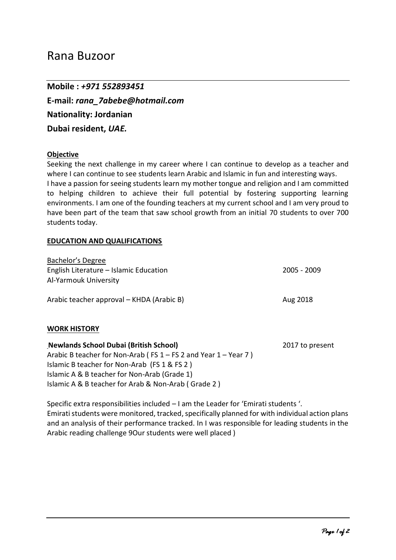# Rana Buzoor

**Mobile :** *+971 552893451* **E-mail:** *rana\_7abebe@hotmail.com* **Nationality: Jordanian Dubai resident,** *UAE.*

## **Objective**

Seeking the next challenge in my career where I can continue to develop as a teacher and where I can continue to see students learn Arabic and Islamic in fun and interesting ways. I have a passion for seeing students learn my mother tongue and religion and I am committed to helping children to achieve their full potential by fostering supporting learning environments. I am one of the founding teachers at my current school and I am very proud to have been part of the team that saw school growth from an initial 70 students to over 700 students today.

### **EDUCATION AND QUALIFICATIONS**

| Bachelor's Degree                         |             |
|-------------------------------------------|-------------|
| English Literature – Islamic Education    | 2005 - 2009 |
| Al-Yarmouk University                     |             |
| Arabic teacher approval - KHDA (Arabic B) | Aug 2018    |

## **WORK HISTORY**

| <b>Newlands School Dubai (British School)</b>                         | 2017 to present |
|-----------------------------------------------------------------------|-----------------|
| Arabic B teacher for Non-Arab ( $FS 1 - FS 2$ and Year $1 - Year 7$ ) |                 |
| Islamic B teacher for Non-Arab (FS 1 & FS 2)                          |                 |
| Islamic A & B teacher for Non-Arab (Grade 1)                          |                 |
| Islamic A & B teacher for Arab & Non-Arab (Grade 2)                   |                 |

Specific extra responsibilities included – I am the Leader for 'Emirati students '. Emirati students were monitored, tracked, specifically planned for with individual action plans and an analysis of their performance tracked. In I was responsible for leading students in the Arabic reading challenge 9Our students were well placed )